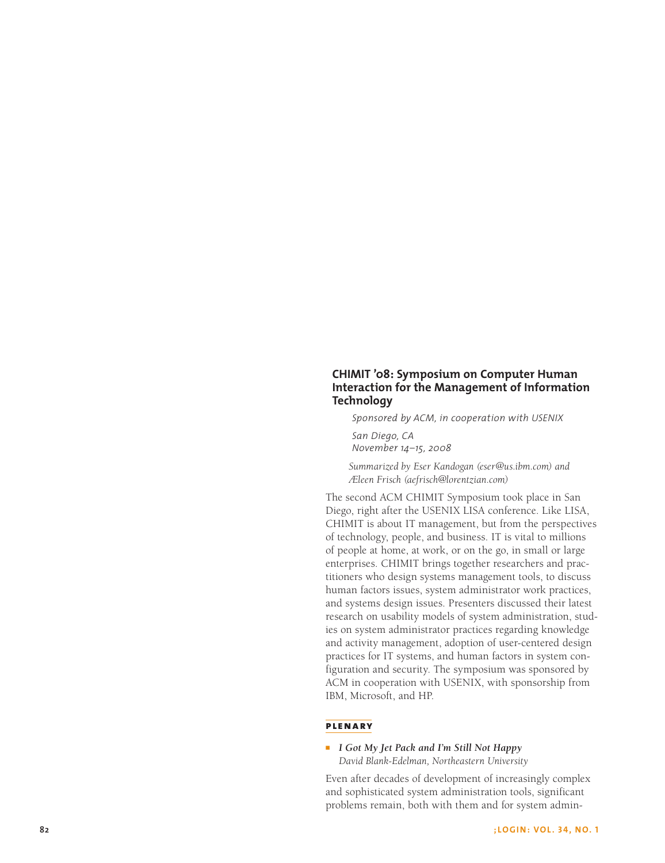# **CHIMIT '08: Symposium on Computer Human Interaction for the Management of Information Technology**

*Sponsored by ACM, in cooperation with USENIX San Diego, CA November 14–15, 2008*

*Summarized by Eser Kandogan (eser@us.ibm.com) and Æleen Frisch (aefrisch@lorentzian.com)*

The second ACM CHIMIT Symposium took place in San Diego, right after the USENIX LISA conference. Like LISA, CHIMIT is about IT management, but from the perspectives of technology, people, and business. IT is vital to millions of people at home, at work, or on the go, in small or large enterprises. CHIMIT brings together researchers and practitioners who design systems management tools, to discuss human factors issues, system administrator work practices, and systems design issues. Presenters discussed their latest research on usability models of system administration, studies on system administrator practices regarding knowledge and activity management, adoption of user-centered design practices for IT systems, and human factors in system configuration and security. The symposium was sponsored by ACM in cooperation with USENIX, with sponsorship from IBM, Microsoft, and HP.

## **plenary**

■ *I Got My Jet Pack and I'm Still Not Happy David Blank-Edelman, Northeastern University*

Even after decades of development of increasingly complex and sophisticated system administration tools, significant problems remain, both with them and for system admin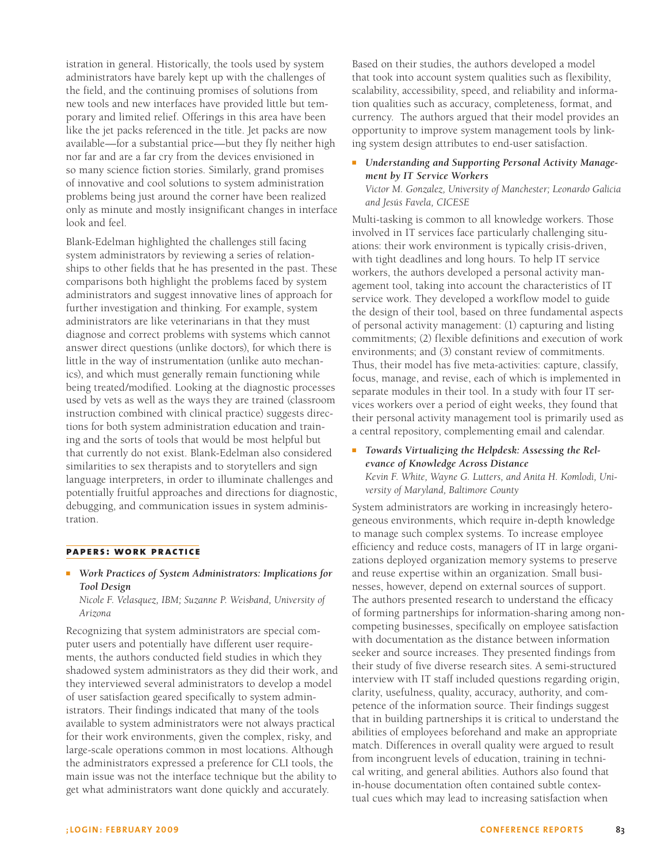istration in general. Historically, the tools used by system administrators have barely kept up with the challenges of the field, and the continuing promises of solutions from new tools and new interfaces have provided little but temporary and limited relief. Offerings in this area have been like the jet packs referenced in the title. Jet packs are now available—for a substantial price—but they fly neither high nor far and are a far cry from the devices envisioned in so many science fiction stories. Similarly, grand promises of innovative and cool solutions to system administration problems being just around the corner have been realized only as minute and mostly insignificant changes in interface look and feel.

Blank-Edelman highlighted the challenges still facing system administrators by reviewing a series of relationships to other fields that he has presented in the past. These comparisons both highlight the problems faced by system administrators and suggest innovative lines of approach for further investigation and thinking. For example, system administrators are like veterinarians in that they must diagnose and correct problems with systems which cannot answer direct questions (unlike doctors), for which there is little in the way of instrumentation (unlike auto mechanics), and which must generally remain functioning while being treated/modified. Looking at the diagnostic processes used by vets as well as the ways they are trained (classroom instruction combined with clinical practice) suggests directions for both system administration education and training and the sorts of tools that would be most helpful but that currently do not exist. Blank-Edelman also considered similarities to sex therapists and to storytellers and sign language interpreters, in order to illuminate challenges and potentially fruitful approaches and directions for diagnostic, debugging, and communication issues in system administration.

#### **papers: work practice**

<sup>n</sup> *Work Practices of System Administrators: Implications for Tool Design*

*Nicole F. Velasquez, IBM; Suzanne P. Weisband, University of Arizona*

Recognizing that system administrators are special computer users and potentially have different user requirements, the authors conducted field studies in which they shadowed system administrators as they did their work, and they interviewed several administrators to develop a model of user satisfaction geared specifically to system administrators. Their findings indicated that many of the tools available to system administrators were not always practical for their work environments, given the complex, risky, and large-scale operations common in most locations. Although the administrators expressed a preference for CLI tools, the main issue was not the interface technique but the ability to get what administrators want done quickly and accurately.

Based on their studies, the authors developed a model that took into account system qualities such as flexibility, scalability, accessibility, speed, and reliability and information qualities such as accuracy, completeness, format, and currency. The authors argued that their model provides an opportunity to improve system management tools by linking system design attributes to end-user satisfaction.

**EXEC 12 Understanding and Supporting Personal Activity Manage***ment by IT Service Workers Victor M. Gonzalez, University of Manchester; Leonardo Galicia and Jesús Favela, CICESE*

Multi-tasking is common to all knowledge workers. Those involved in IT services face particularly challenging situations: their work environment is typically crisis-driven, with tight deadlines and long hours. To help IT service workers, the authors developed a personal activity management tool, taking into account the characteristics of IT service work. They developed a workflow model to guide the design of their tool, based on three fundamental aspects of personal activity management: (1) capturing and listing commitments; (2) flexible definitions and execution of work environments; and (3) constant review of commitments. Thus, their model has five meta-activities: capture, classify, focus, manage, and revise, each of which is implemented in separate modules in their tool. In a study with four IT services workers over a period of eight weeks, they found that their personal activity management tool is primarily used as a central repository, complementing email and calendar.

<sup>n</sup> *Towards Virtualizing the Helpdesk: Assessing the Relevance of Knowledge Across Distance Kevin F. White, Wayne G. Lutters, and Anita H. Komlodi, University of Maryland, Baltimore County*

System administrators are working in increasingly heterogeneous environments, which require in-depth knowledge to manage such complex systems. To increase employee efficiency and reduce costs, managers of IT in large organizations deployed organization memory systems to preserve and reuse expertise within an organization. Small businesses, however, depend on external sources of support. The authors presented research to understand the efficacy of forming partnerships for information-sharing among noncompeting businesses, specifically on employee satisfaction with documentation as the distance between information seeker and source increases. They presented findings from their study of five diverse research sites. A semi-structured interview with IT staff included questions regarding origin, clarity, usefulness, quality, accuracy, authority, and competence of the information source. Their findings suggest that in building partnerships it is critical to understand the abilities of employees beforehand and make an appropriate match. Differences in overall quality were argued to result from incongruent levels of education, training in technical writing, and general abilities. Authors also found that in-house documentation often contained subtle contextual cues which may lead to increasing satisfaction when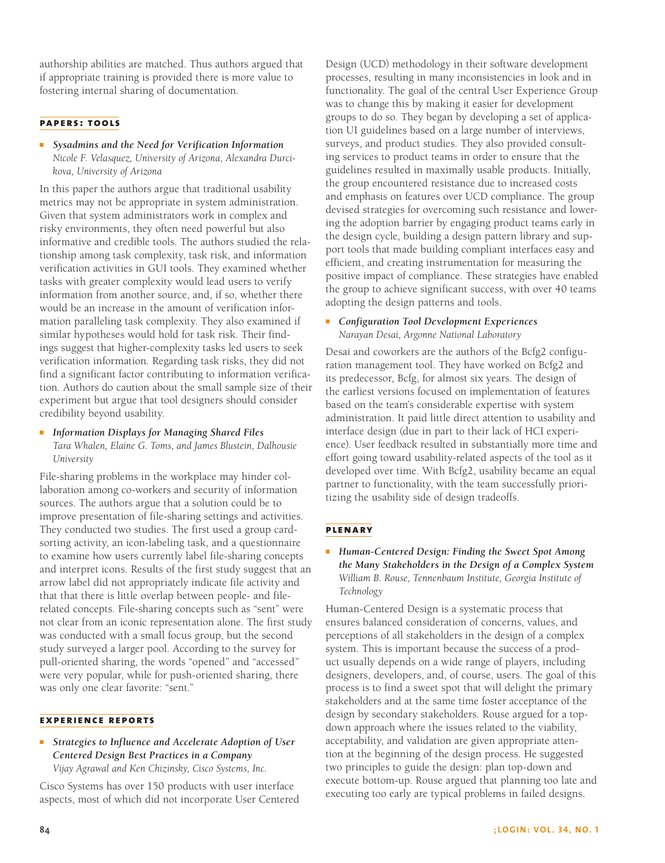authorship abilities are matched. Thus authors argued that if appropriate training is provided there is more value to fostering internal sharing of documentation.

## **papers: tools**

<sup>n</sup> *Sysadmins and the Need for Verification Information Nicole F. Velasquez, University of Arizona, Alexandra Durcikova, University of Arizona*

In this paper the authors argue that traditional usability metrics may not be appropriate in system administration. Given that system administrators work in complex and risky environments, they often need powerful but also informative and credible tools. The authors studied the relationship among task complexity, task risk, and information verification activities in GUI tools. They examined whether tasks with greater complexity would lead users to verify information from another source, and, if so, whether there would be an increase in the amount of verification information paralleling task complexity. They also examined if similar hypotheses would hold for task risk. Their findings suggest that higher-complexity tasks led users to seek verification information. Regarding task risks, they did not find a significant factor contributing to information verification. Authors do caution about the small sample size of their experiment but argue that tool designers should consider credibility beyond usability.

**n** *Information Displays for Managing Shared Files Tara Whalen, Elaine G. Toms, and James Blustein, Dalhousie University*

File-sharing problems in the workplace may hinder collaboration among co-workers and security of information sources. The authors argue that a solution could be to improve presentation of file-sharing settings and activities. They conducted two studies. The first used a group cardsorting activity, an icon-labeling task, and a questionnaire to examine how users currently label file-sharing concepts and interpret icons. Results of the first study suggest that an arrow label did not appropriately indicate file activity and that that there is little overlap between people- and filerelated concepts. File-sharing concepts such as "sent" were not clear from an iconic representation alone. The first study was conducted with a small focus group, but the second study surveyed a larger pool. According to the survey for pull-oriented sharing, the words "opened" and "accessed" were very popular, while for push-oriented sharing, there was only one clear favorite: "sent."

## **experience reports**

■ *Strategies to Influence and Accelerate Adoption of User Centered Design Best Practices in a Company Vijay Agrawal and Ken Chizinsky, Cisco Systems, Inc.*

Cisco Systems has over 150 products with user interface aspects, most of which did not incorporate User Centered Design (UCD) methodology in their software development processes, resulting in many inconsistencies in look and in functionality. The goal of the central User Experience Group was to change this by making it easier for development groups to do so. They began by developing a set of application UI guidelines based on a large number of interviews, surveys, and product studies. They also provided consulting services to product teams in order to ensure that the guidelines resulted in maximally usable products. Initially, the group encountered resistance due to increased costs and emphasis on features over UCD compliance. The group devised strategies for overcoming such resistance and lowering the adoption barrier by engaging product teams early in the design cycle, building a design pattern library and support tools that made building compliant interfaces easy and efficient, and creating instrumentation for measuring the positive impact of compliance. These strategies have enabled the group to achieve significant success, with over 40 teams adopting the design patterns and tools.

## <sup>n</sup> *Configuration Tool Development Experiences Narayan Desai, Argonne National Laboratory*

Desai and coworkers are the authors of the Bcfg2 configuration management tool. They have worked on Bcfg2 and its predecessor, Bcfg, for almost six years. The design of the earliest versions focused on implementation of features based on the team's considerable expertise with system administration. It paid little direct attention to usability and interface design (due in part to their lack of HCI experience). User feedback resulted in substantially more time and effort going toward usability-related aspects of the tool as it developed over time. With Bcfg2, usability became an equal partner to functionality, with the team successfully prioritizing the usability side of design tradeoffs.

## **plenary**

# <sup>n</sup> *Human-Centered Design: Finding the Sweet Spot Among the Many Stakeholders in the Design of a Complex System William B. Rouse, Tennenbaum Institute, Georgia Institute of Technology*

Human-Centered Design is a systematic process that ensures balanced consideration of concerns, values, and perceptions of all stakeholders in the design of a complex system. This is important because the success of a product usually depends on a wide range of players, including designers, developers, and, of course, users. The goal of this process is to find a sweet spot that will delight the primary stakeholders and at the same time foster acceptance of the design by secondary stakeholders. Rouse argued for a topdown approach where the issues related to the viability, acceptability, and validation are given appropriate attention at the beginning of the design process. He suggested two principles to guide the design: plan top-down and execute bottom-up. Rouse argued that planning too late and executing too early are typical problems in failed designs.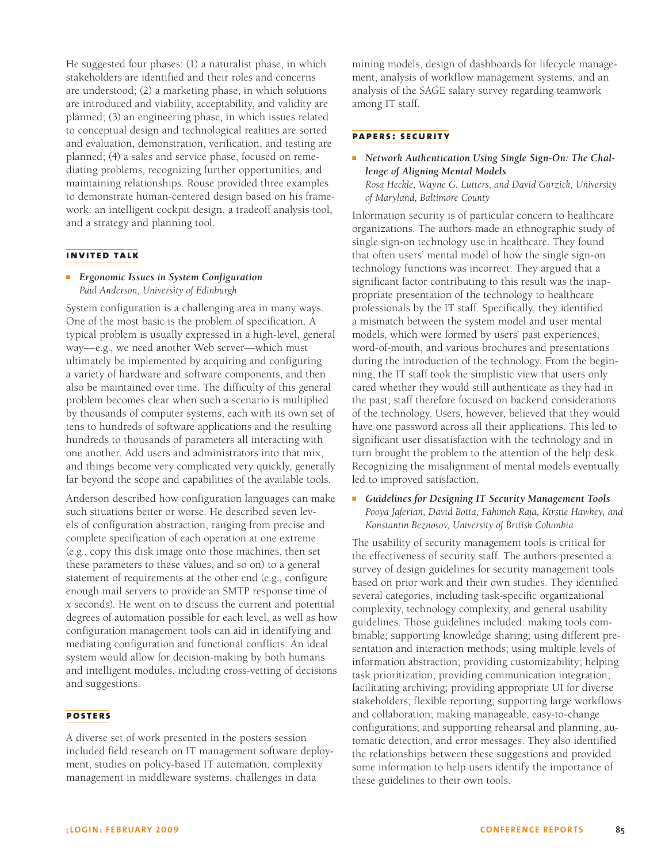He suggested four phases: (1) a naturalist phase, in which stakeholders are identified and their roles and concerns are understood; (2) a marketing phase, in which solutions are introduced and viability, acceptability, and validity are planned; (3) an engineering phase, in which issues related to conceptual design and technological realities are sorted and evaluation, demonstration, verification, and testing are planned; (4) a sales and service phase, focused on remediating problems, recognizing further opportunities, and maintaining relationships. Rouse provided three examples to demonstrate human-centered design based on his framework: an intelligent cockpit design, a tradeoff analysis tool, and a strategy and planning tool.

#### **invited talk**

■ *Ergonomic Issues in System Configuration Paul Anderson, University of Edinburgh*

System configuration is a challenging area in many ways. One of the most basic is the problem of specification. A typical problem is usually expressed in a high-level, general way—e.g., we need another Web server—which must ultimately be implemented by acquiring and configuring a variety of hardware and software components, and then also be maintained over time. The difficulty of this general problem becomes clear when such a scenario is multiplied by thousands of computer systems, each with its own set of tens to hundreds of software applications and the resulting hundreds to thousands of parameters all interacting with one another. Add users and administrators into that mix, and things become very complicated very quickly, generally far beyond the scope and capabilities of the available tools.

Anderson described how configuration languages can make such situations better or worse. He described seven levels of configuration abstraction, ranging from precise and complete specification of each operation at one extreme (e.g., copy this disk image onto those machines, then set these parameters to these values, and so on) to a general statement of requirements at the other end (e.g., configure enough mail servers to provide an SMTP response time of *x* seconds). He went on to discuss the current and potential degrees of automation possible for each level, as well as how configuration management tools can aid in identifying and mediating configuration and functional conflicts. An ideal system would allow for decision-making by both humans and intelligent modules, including cross-vetting of decisions and suggestions.

#### **posters**

A diverse set of work presented in the posters session included field research on IT management software deployment, studies on policy-based IT automation, complexity management in middleware systems, challenges in data

mining models, design of dashboards for lifecycle management, analysis of workflow management systems, and an analysis of the SAGE salary survey regarding teamwork among IT staff.

#### **papers: security**

**• Network Authentication Using Single Sign-On: The Chal***lenge of Aligning Mental Models Rosa Heckle, Wayne G. Lutters, and David Gurzick, University of Maryland, Baltimore County*

Information security is of particular concern to healthcare organizations. The authors made an ethnographic study of single sign-on technology use in healthcare. They found that often users' mental model of how the single sign-on technology functions was incorrect. They argued that a significant factor contributing to this result was the inappropriate presentation of the technology to healthcare professionals by the IT staff. Specifically, they identified a mismatch between the system model and user mental models, which were formed by users' past experiences, word-of-mouth, and various brochures and presentations during the introduction of the technology. From the beginning, the IT staff took the simplistic view that users only cared whether they would still authenticate as they had in the past; staff therefore focused on backend considerations of the technology. Users, however, believed that they would have one password across all their applications. This led to significant user dissatisfaction with the technology and in turn brought the problem to the attention of the help desk. Recognizing the misalignment of mental models eventually led to improved satisfaction.

■ Guidelines for Designing IT Security Management Tools *Pooya Jaferian, David Botta, Fahimeh Raja, Kirstie Hawkey, and Konstantin Beznosov, University of British Columbia*

The usability of security management tools is critical for the effectiveness of security staff. The authors presented a survey of design guidelines for security management tools based on prior work and their own studies. They identified several categories, including task-specific organizational complexity, technology complexity, and general usability guidelines. Those guidelines included: making tools combinable; supporting knowledge sharing; using different presentation and interaction methods; using multiple levels of information abstraction; providing customizability; helping task prioritization; providing communication integration; facilitating archiving; providing appropriate UI for diverse stakeholders; flexible reporting; supporting large workflows and collaboration; making manageable, easy-to-change configurations; and supporting rehearsal and planning, automatic detection, and error messages. They also identified the relationships between these suggestions and provided some information to help users identify the importance of these guidelines to their own tools.